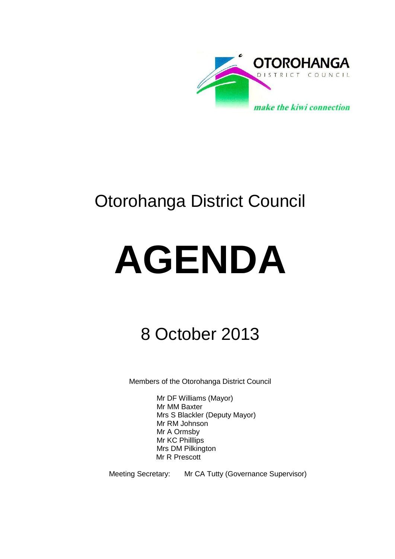

# Otorohanga District Council

# **AGENDA**

# 8 October 2013

Members of the Otorohanga District Council

Mr DF Williams (Mayor) Mr MM Baxter Mrs S Blackler (Deputy Mayor) Mr RM Johnson Mr A Ormsby Mr KC Philllips Mrs DM Pilkington Mr R Prescott

Meeting Secretary: Mr CA Tutty (Governance Supervisor)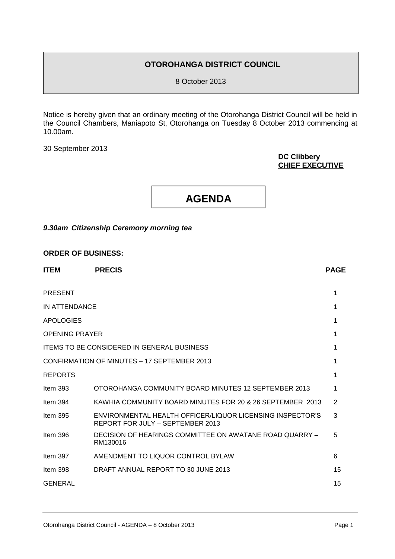#### **OTOROHANGA DISTRICT COUNCIL**

8 October 2013

Notice is hereby given that an ordinary meeting of the Otorohanga District Council will be held in the Council Chambers, Maniapoto St, Otorohanga on Tuesday 8 October 2013 commencing at 10.00am.

30 September 2013

#### **DC Clibbery CHIEF EXECUTIVE**



#### *9.30am Citizenship Ceremony morning tea*

| <b>ITEM</b>                                       | <b>PRECIS</b>                                                                                 | <b>PAGE</b> |
|---------------------------------------------------|-----------------------------------------------------------------------------------------------|-------------|
| <b>PRESENT</b>                                    |                                                                                               | 1           |
| IN ATTENDANCE                                     |                                                                                               | 1           |
| <b>APOLOGIES</b>                                  |                                                                                               | 1           |
| <b>OPENING PRAYER</b>                             |                                                                                               |             |
| <b>ITEMS TO BE CONSIDERED IN GENERAL BUSINESS</b> |                                                                                               |             |
| CONFIRMATION OF MINUTES - 17 SEPTEMBER 2013       |                                                                                               | 1           |
| <b>REPORTS</b>                                    |                                                                                               | 1           |
| Item $393$                                        | OTOROHANGA COMMUNITY BOARD MINUTES 12 SEPTEMBER 2013                                          | 1           |
| Item $394$                                        | KAWHIA COMMUNITY BOARD MINUTES FOR 20 & 26 SEPTEMBER 2013                                     | 2           |
| Item $395$                                        | ENVIRONMENTAL HEALTH OFFICER/LIQUOR LICENSING INSPECTOR'S<br>REPORT FOR JULY - SEPTEMBER 2013 | 3           |
| Item $396$                                        | DECISION OF HEARINGS COMMITTEE ON AWATANE ROAD QUARRY -<br>RM130016                           | 5           |
| Item $397$                                        | AMENDMENT TO LIQUOR CONTROL BYLAW                                                             | 6           |
| Item $398$                                        | DRAFT ANNUAL REPORT TO 30 JUNE 2013                                                           | 15          |
| <b>GENERAL</b>                                    |                                                                                               | 15          |
|                                                   |                                                                                               |             |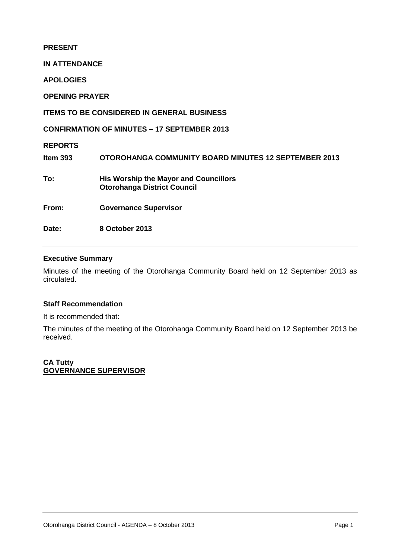**PRESENT IN ATTENDANCE APOLOGIES OPENING PRAYER ITEMS TO BE CONSIDERED IN GENERAL BUSINESS CONFIRMATION OF MINUTES – 17 SEPTEMBER 2013 REPORTS Item 393 OTOROHANGA COMMUNITY BOARD MINUTES 12 SEPTEMBER 2013 To: His Worship the Mayor and Councillors Otorohanga District Council From: Governance Supervisor Date: 8 October 2013** 

#### **Executive Summary**

Minutes of the meeting of the Otorohanga Community Board held on 12 September 2013 as circulated.

#### **Staff Recommendation**

It is recommended that:

The minutes of the meeting of the Otorohanga Community Board held on 12 September 2013 be received.

#### **CA Tutty GOVERNANCE SUPERVISOR**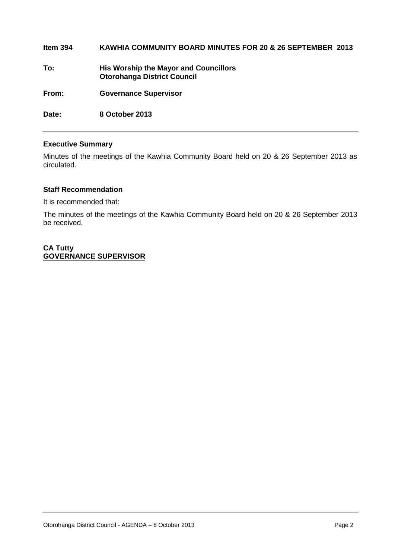| Item $394$ | KAWHIA COMMUNITY BOARD MINUTES FOR 20 & 26 SEPTEMBER 2013                          |
|------------|------------------------------------------------------------------------------------|
| To:        | <b>His Worship the Mayor and Councillors</b><br><b>Otorohanga District Council</b> |
| From:      | <b>Governance Supervisor</b>                                                       |
| Date:      | 8 October 2013                                                                     |

#### **Executive Summary**

Minutes of the meetings of the Kawhia Community Board held on 20 & 26 September 2013 as circulated.

#### **Staff Recommendation**

It is recommended that:

The minutes of the meetings of the Kawhia Community Board held on 20 & 26 September 2013 be received.

#### **CA Tutty GOVERNANCE SUPERVISOR**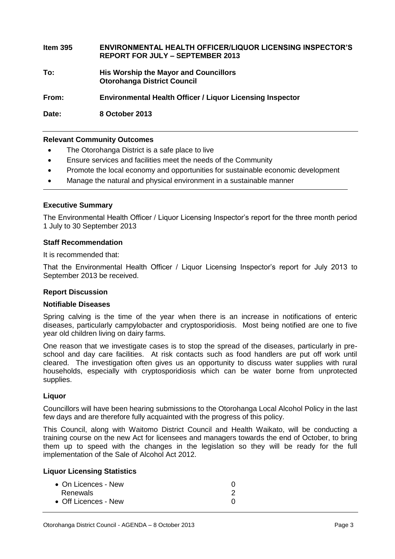### **Item 395 ENVIRONMENTAL HEALTH OFFICER/LIQUOR LICENSING INSPECTOR'S REPORT FOR JULY – SEPTEMBER 2013**

**To: His Worship the Mayor and Councillors Otorohanga District Council**

**From: Environmental Health Officer / Liquor Licensing Inspector**

**Date: 8 October 2013**

#### **Relevant Community Outcomes**

- The Otorohanga District is a safe place to live
- Ensure services and facilities meet the needs of the Community
- Promote the local economy and opportunities for sustainable economic development
- Manage the natural and physical environment in a sustainable manner

#### **Executive Summary**

The Environmental Health Officer / Liquor Licensing Inspector's report for the three month period 1 July to 30 September 2013

#### **Staff Recommendation**

It is recommended that:

That the Environmental Health Officer / Liquor Licensing Inspector's report for July 2013 to September 2013 be received.

#### **Report Discussion**

#### **Notifiable Diseases**

Spring calving is the time of the year when there is an increase in notifications of enteric diseases, particularly campylobacter and cryptosporidiosis. Most being notified are one to five year old children living on dairy farms.

One reason that we investigate cases is to stop the spread of the diseases, particularly in preschool and day care facilities. At risk contacts such as food handlers are put off work until cleared. The investigation often gives us an opportunity to discuss water supplies with rural households, especially with cryptosporidiosis which can be water borne from unprotected supplies.

#### **Liquor**

Councillors will have been hearing submissions to the Otorohanga Local Alcohol Policy in the last few days and are therefore fully acquainted with the progress of this policy.

This Council, along with Waitomo District Council and Health Waikato, will be conducting a training course on the new Act for licensees and managers towards the end of October, to bring them up to speed with the changes in the legislation so they will be ready for the full implementation of the Sale of Alcohol Act 2012.

#### **Liquor Licensing Statistics**

| $\bullet$ On Licences - New |  |
|-----------------------------|--|
| Renewals                    |  |
| • Off Licences - New        |  |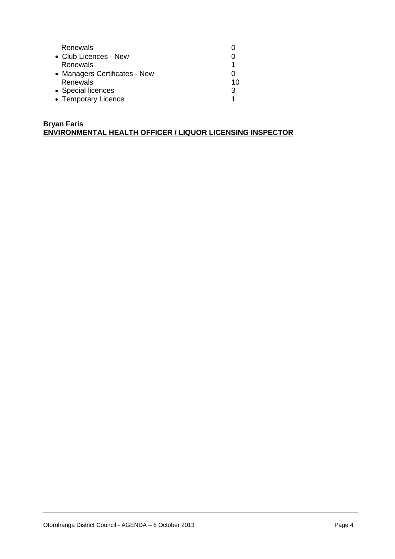| Renewals                      |    |
|-------------------------------|----|
| • Club Licences - New         |    |
| Renewals                      |    |
| • Managers Certificates - New |    |
| Renewals                      | 10 |
| • Special licences            | 3  |
| • Temporary Licence           |    |

#### **Bryan Faris ENVIRONMENTAL HEALTH OFFICER / LIQUOR LICENSING INSPECTOR**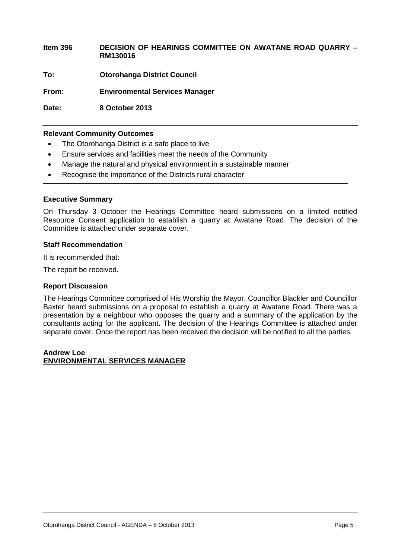**Item 396 DECISION OF HEARINGS COMMITTEE ON AWATANE ROAD QUARRY – RM130016 To: Otorohanga District Council From: Environmental Services Manager**

**Date: 8 October 2013**

#### **Relevant Community Outcomes**

- The Otorohanga District is a safe place to live
- Ensure services and facilities meet the needs of the Community
- Manage the natural and physical environment in a sustainable manner
- Recognise the importance of the Districts rural character

#### **Executive Summary**

On Thursday 3 October the Hearings Committee heard submissions on a limited notified Resource Consent application to establish a quarry at Awatane Road. The decision of the Committee is attached under separate cover.

#### **Staff Recommendation**

It is recommended that:

The report be received.

#### **Report Discussion**

The Hearings Committee comprised of His Worship the Mayor, Councillor Blackler and Councillor Baxter heard submissions on a proposal to establish a quarry at Awatane Road. There was a presentation by a neighbour who opposes the quarry and a summary of the application by the consultants acting for the applicant. The decision of the Hearings Committee is attached under separate cover. Once the report has been received the decision will be notified to all the parties.

#### **Andrew Loe ENVIRONMENTAL SERVICES MANAGER**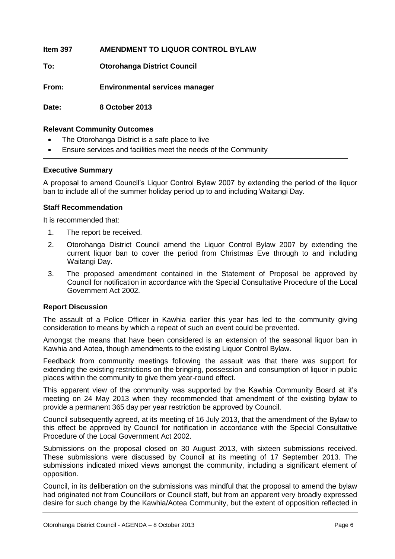| Item 397 | AMENDMENT TO LIQUOR CONTROL BYLAW     |
|----------|---------------------------------------|
| To:      | <b>Otorohanga District Council</b>    |
| From:    | <b>Environmental services manager</b> |
| Date:    | 8 October 2013                        |
|          |                                       |

#### **Relevant Community Outcomes**

- The Otorohanga District is a safe place to live
- Ensure services and facilities meet the needs of the Community

#### **Executive Summary**

A proposal to amend Council's Liquor Control Bylaw 2007 by extending the period of the liquor ban to include all of the summer holiday period up to and including Waitangi Day.

#### **Staff Recommendation**

It is recommended that:

- 1. The report be received.
- 2. Otorohanga District Council amend the Liquor Control Bylaw 2007 by extending the current liquor ban to cover the period from Christmas Eve through to and including Waitangi Day.
- 3. The proposed amendment contained in the Statement of Proposal be approved by Council for notification in accordance with the Special Consultative Procedure of the Local Government Act 2002.

#### **Report Discussion**

The assault of a Police Officer in Kawhia earlier this year has led to the community giving consideration to means by which a repeat of such an event could be prevented.

Amongst the means that have been considered is an extension of the seasonal liquor ban in Kawhia and Aotea, though amendments to the existing Liquor Control Bylaw.

Feedback from community meetings following the assault was that there was support for extending the existing restrictions on the bringing, possession and consumption of liquor in public places within the community to give them year-round effect.

This apparent view of the community was supported by the Kawhia Community Board at it's meeting on 24 May 2013 when they recommended that amendment of the existing bylaw to provide a permanent 365 day per year restriction be approved by Council.

Council subsequently agreed, at its meeting of 16 July 2013, that the amendment of the Bylaw to this effect be approved by Council for notification in accordance with the Special Consultative Procedure of the Local Government Act 2002.

Submissions on the proposal closed on 30 August 2013, with sixteen submissions received. These submissions were discussed by Council at its meeting of 17 September 2013. The submissions indicated mixed views amongst the community, including a significant element of opposition.

Council, in its deliberation on the submissions was mindful that the proposal to amend the bylaw had originated not from Councillors or Council staff, but from an apparent very broadly expressed desire for such change by the Kawhia/Aotea Community, but the extent of opposition reflected in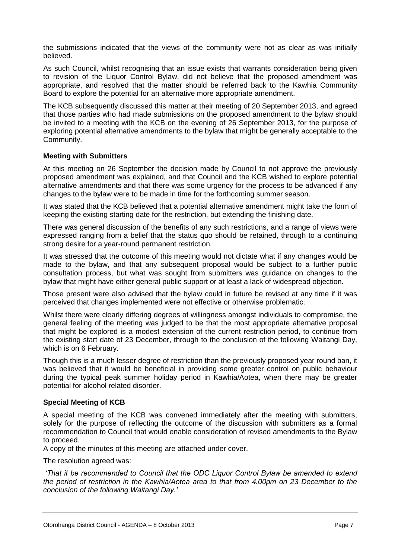the submissions indicated that the views of the community were not as clear as was initially believed.

As such Council, whilst recognising that an issue exists that warrants consideration being given to revision of the Liquor Control Bylaw, did not believe that the proposed amendment was appropriate, and resolved that the matter should be referred back to the Kawhia Community Board to explore the potential for an alternative more appropriate amendment.

The KCB subsequently discussed this matter at their meeting of 20 September 2013, and agreed that those parties who had made submissions on the proposed amendment to the bylaw should be invited to a meeting with the KCB on the evening of 26 September 2013, for the purpose of exploring potential alternative amendments to the bylaw that might be generally acceptable to the Community.

#### **Meeting with Submitters**

At this meeting on 26 September the decision made by Council to not approve the previously proposed amendment was explained, and that Council and the KCB wished to explore potential alternative amendments and that there was some urgency for the process to be advanced if any changes to the bylaw were to be made in time for the forthcoming summer season.

It was stated that the KCB believed that a potential alternative amendment might take the form of keeping the existing starting date for the restriction, but extending the finishing date.

There was general discussion of the benefits of any such restrictions, and a range of views were expressed ranging from a belief that the status quo should be retained, through to a continuing strong desire for a year-round permanent restriction.

It was stressed that the outcome of this meeting would not dictate what if any changes would be made to the bylaw, and that any subsequent proposal would be subject to a further public consultation process, but what was sought from submitters was guidance on changes to the bylaw that might have either general public support or at least a lack of widespread objection.

Those present were also advised that the bylaw could in future be revised at any time if it was perceived that changes implemented were not effective or otherwise problematic.

Whilst there were clearly differing degrees of willingness amongst individuals to compromise, the general feeling of the meeting was judged to be that the most appropriate alternative proposal that might be explored is a modest extension of the current restriction period, to continue from the existing start date of 23 December, through to the conclusion of the following Waitangi Day, which is on 6 February.

Though this is a much lesser degree of restriction than the previously proposed year round ban, it was believed that it would be beneficial in providing some greater control on public behaviour during the typical peak summer holiday period in Kawhia/Aotea, when there may be greater potential for alcohol related disorder.

#### **Special Meeting of KCB**

A special meeting of the KCB was convened immediately after the meeting with submitters, solely for the purpose of reflecting the outcome of the discussion with submitters as a formal recommendation to Council that would enable consideration of revised amendments to the Bylaw to proceed.

A copy of the minutes of this meeting are attached under cover.

The resolution agreed was:

*'That it be recommended to Council that the ODC Liquor Control Bylaw be amended to extend the period of restriction in the Kawhia/Aotea area to that from 4.00pm on 23 December to the conclusion of the following Waitangi Day.'*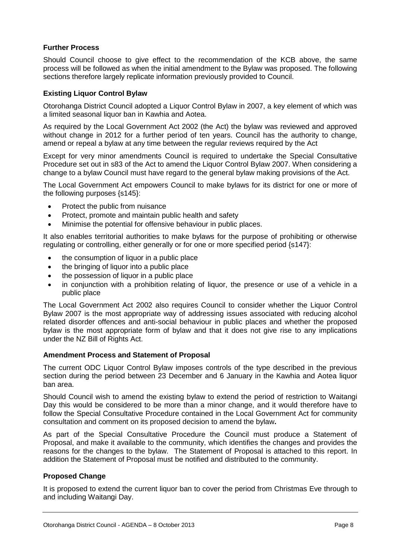#### **Further Process**

Should Council choose to give effect to the recommendation of the KCB above, the same process will be followed as when the initial amendment to the Bylaw was proposed. The following sections therefore largely replicate information previously provided to Council.

#### **Existing Liquor Control Bylaw**

Otorohanga District Council adopted a Liquor Control Bylaw in 2007, a key element of which was a limited seasonal liquor ban in Kawhia and Aotea.

As required by the Local Government Act 2002 (the Act) the bylaw was reviewed and approved without change in 2012 for a further period of ten years. Council has the authority to change, amend or repeal a bylaw at any time between the regular reviews required by the Act

Except for very minor amendments Council is required to undertake the Special Consultative Procedure set out in s83 of the Act to amend the Liquor Control Bylaw 2007. When considering a change to a bylaw Council must have regard to the general bylaw making provisions of the Act.

The Local Government Act empowers Council to make bylaws for its district for one or more of the following purposes {s145}:

- Protect the public from nuisance
- Protect, promote and maintain public health and safety
- Minimise the potential for offensive behaviour in public places.

It also enables territorial authorities to make bylaws for the purpose of prohibiting or otherwise regulating or controlling, either generally or for one or more specified period {s147}:

- the consumption of liquor in a public place
- the bringing of liquor into a public place
- the possession of liquor in a public place
- in conjunction with a prohibition relating of liquor, the presence or use of a vehicle in a public place

The Local Government Act 2002 also requires Council to consider whether the Liquor Control Bylaw 2007 is the most appropriate way of addressing issues associated with reducing alcohol related disorder offences and anti-social behaviour in public places and whether the proposed bylaw is the most appropriate form of bylaw and that it does not give rise to any implications under the NZ Bill of Rights Act.

#### **Amendment Process and Statement of Proposal**

The current ODC Liquor Control Bylaw imposes controls of the type described in the previous section during the period between 23 December and 6 January in the Kawhia and Aotea liquor ban area.

Should Council wish to amend the existing bylaw to extend the period of restriction to Waitangi Day this would be considered to be more than a minor change, and it would therefore have to follow the Special Consultative Procedure contained in the Local Government Act for community consultation and comment on its proposed decision to amend the bylaw**.**

As part of the Special Consultative Procedure the Council must produce a Statement of Proposal, and make it available to the community, which identifies the changes and provides the reasons for the changes to the bylaw. The Statement of Proposal is attached to this report. In addition the Statement of Proposal must be notified and distributed to the community.

#### **Proposed Change**

It is proposed to extend the current liquor ban to cover the period from Christmas Eve through to and including Waitangi Day.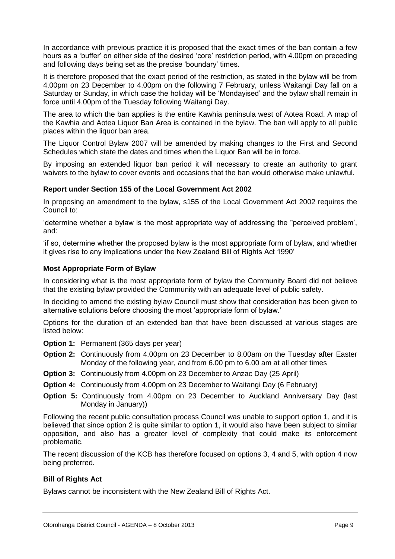In accordance with previous practice it is proposed that the exact times of the ban contain a few hours as a 'buffer' on either side of the desired 'core' restriction period, with 4.00pm on preceding and following days being set as the precise 'boundary' times.

It is therefore proposed that the exact period of the restriction, as stated in the bylaw will be from 4.00pm on 23 December to 4.00pm on the following 7 February, unless Waitangi Day fall on a Saturday or Sunday, in which case the holiday will be 'Mondayised' and the bylaw shall remain in force until 4.00pm of the Tuesday following Waitangi Day.

The area to which the ban applies is the entire Kawhia peninsula west of Aotea Road. A map of the Kawhia and Aotea Liquor Ban Area is contained in the bylaw. The ban will apply to all public places within the liquor ban area.

The Liquor Control Bylaw 2007 will be amended by making changes to the First and Second Schedules which state the dates and times when the Liquor Ban will be in force.

By imposing an extended liquor ban period it will necessary to create an authority to grant waivers to the bylaw to cover events and occasions that the ban would otherwise make unlawful.

#### **Report under Section 155 of the Local Government Act 2002**

In proposing an amendment to the bylaw, s155 of the Local Government Act 2002 requires the Council to:

'determine whether a bylaw is the most appropriate way of addressing the "perceived problem', and:

'if so, determine whether the proposed bylaw is the most appropriate form of bylaw, and whether it gives rise to any implications under the New Zealand Bill of Rights Act 1990'

#### **Most Appropriate Form of Bylaw**

In considering what is the most appropriate form of bylaw the Community Board did not believe that the existing bylaw provided the Community with an adequate level of public safety.

In deciding to amend the existing bylaw Council must show that consideration has been given to alternative solutions before choosing the most 'appropriate form of bylaw.'

Options for the duration of an extended ban that have been discussed at various stages are listed below:

- **Option 1:** Permanent (365 days per year)
- **Option 2:** Continuously from 4.00pm on 23 December to 8.00am on the Tuesday after Easter Monday of the following year, and from 6.00 pm to 6.00 am at all other times
- **Option 3:** Continuously from 4.00pm on 23 December to Anzac Day (25 April)
- **Option 4:** Continuously from 4.00pm on 23 December to Waitangi Day (6 February)
- **Option 5:** Continuously from 4.00pm on 23 December to Auckland Anniversary Day (last Monday in January))

Following the recent public consultation process Council was unable to support option 1, and it is believed that since option 2 is quite similar to option 1, it would also have been subject to similar opposition, and also has a greater level of complexity that could make its enforcement problematic.

The recent discussion of the KCB has therefore focused on options 3, 4 and 5, with option 4 now being preferred.

#### **Bill of Rights Act**

Bylaws cannot be inconsistent with the New Zealand Bill of Rights Act.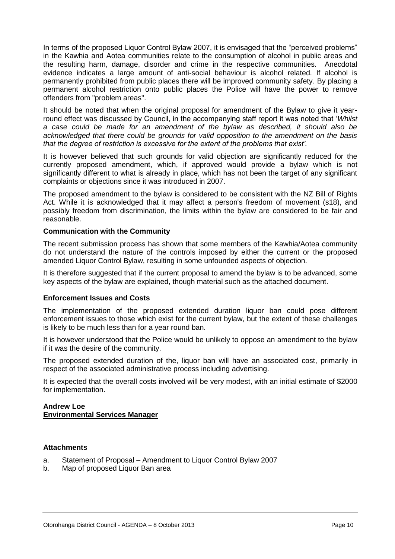In terms of the proposed Liquor Control Bylaw 2007, it is envisaged that the "perceived problems" in the Kawhia and Aotea communities relate to the consumption of alcohol in public areas and the resulting harm, damage, disorder and crime in the respective communities. Anecdotal evidence indicates a large amount of anti-social behaviour is alcohol related. If alcohol is permanently prohibited from public places there will be improved community safety. By placing a permanent alcohol restriction onto public places the Police will have the power to remove offenders from "problem areas".

It should be noted that when the original proposal for amendment of the Bylaw to give it yearround effect was discussed by Council, in the accompanying staff report it was noted that '*Whilst a case could be made for an amendment of the bylaw as described, it should also be acknowledged that there could be grounds for valid opposition to the amendment on the basis that the degree of restriction is excessive for the extent of the problems that exist'.*

It is however believed that such grounds for valid objection are significantly reduced for the currently proposed amendment, which, if approved would provide a bylaw which is not significantly different to what is already in place, which has not been the target of any significant complaints or objections since it was introduced in 2007.

The proposed amendment to the bylaw is considered to be consistent with the NZ Bill of Rights Act. While it is acknowledged that it may affect a person's freedom of movement (s18), and possibly freedom from discrimination, the limits within the bylaw are considered to be fair and reasonable.

#### **Communication with the Community**

The recent submission process has shown that some members of the Kawhia/Aotea community do not understand the nature of the controls imposed by either the current or the proposed amended Liquor Control Bylaw, resulting in some unfounded aspects of objection.

It is therefore suggested that if the current proposal to amend the bylaw is to be advanced, some key aspects of the bylaw are explained, though material such as the attached document.

#### **Enforcement Issues and Costs**

The implementation of the proposed extended duration liquor ban could pose different enforcement issues to those which exist for the current bylaw, but the extent of these challenges is likely to be much less than for a year round ban.

It is however understood that the Police would be unlikely to oppose an amendment to the bylaw if it was the desire of the community.

The proposed extended duration of the, liquor ban will have an associated cost, primarily in respect of the associated administrative process including advertising.

It is expected that the overall costs involved will be very modest, with an initial estimate of \$2000 for implementation.

#### **Andrew Loe Environmental Services Manager**

#### **Attachments**

- a. Statement of Proposal Amendment to Liquor Control Bylaw 2007
- b. Map of proposed Liquor Ban area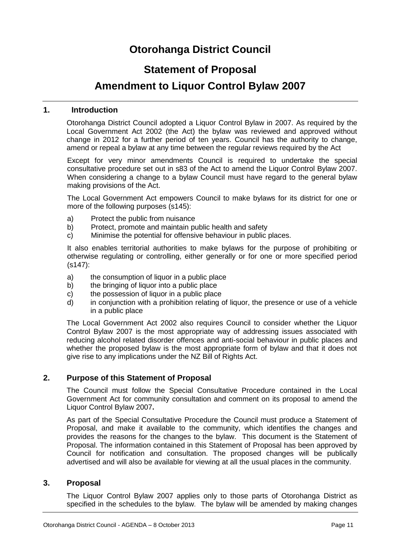# **Otorohanga District Council**

## **Statement of Proposal**

## **Amendment to Liquor Control Bylaw 2007**

#### **1. Introduction**

Otorohanga District Council adopted a Liquor Control Bylaw in 2007. As required by the Local Government Act 2002 (the Act) the bylaw was reviewed and approved without change in 2012 for a further period of ten years. Council has the authority to change, amend or repeal a bylaw at any time between the regular reviews required by the Act

Except for very minor amendments Council is required to undertake the special consultative procedure set out in s83 of the Act to amend the Liquor Control Bylaw 2007. When considering a change to a bylaw Council must have regard to the general bylaw making provisions of the Act.

The Local Government Act empowers Council to make bylaws for its district for one or more of the following purposes (s145):

- a) Protect the public from nuisance
- b) Protect, promote and maintain public health and safety
- c) Minimise the potential for offensive behaviour in public places.

It also enables territorial authorities to make bylaws for the purpose of prohibiting or otherwise regulating or controlling, either generally or for one or more specified period (s147):

- a) the consumption of liquor in a public place
- b) the bringing of liquor into a public place
- c) the possession of liquor in a public place
- d) in conjunction with a prohibition relating of liquor, the presence or use of a vehicle in a public place

The Local Government Act 2002 also requires Council to consider whether the Liquor Control Bylaw 2007 is the most appropriate way of addressing issues associated with reducing alcohol related disorder offences and anti-social behaviour in public places and whether the proposed bylaw is the most appropriate form of bylaw and that it does not give rise to any implications under the NZ Bill of Rights Act.

#### **2. Purpose of this Statement of Proposal**

The Council must follow the Special Consultative Procedure contained in the Local Government Act for community consultation and comment on its proposal to amend the Liquor Control Bylaw 2007**.**

As part of the Special Consultative Procedure the Council must produce a Statement of Proposal, and make it available to the community, which identifies the changes and provides the reasons for the changes to the bylaw. This document is the Statement of Proposal. The information contained in this Statement of Proposal has been approved by Council for notification and consultation. The proposed changes will be publically advertised and will also be available for viewing at all the usual places in the community.

#### **3. Proposal**

The Liquor Control Bylaw 2007 applies only to those parts of Otorohanga District as specified in the schedules to the bylaw. The bylaw will be amended by making changes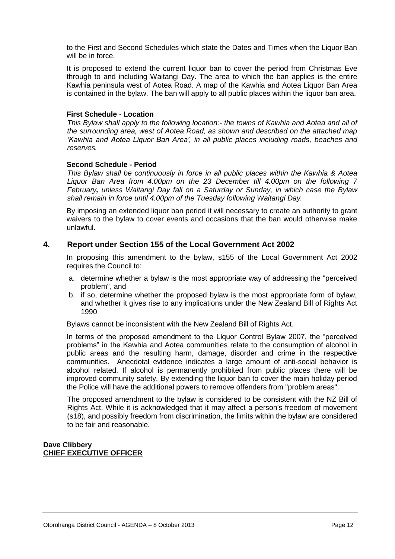to the First and Second Schedules which state the Dates and Times when the Liquor Ban will be in force.

It is proposed to extend the current liquor ban to cover the period from Christmas Eve through to and including Waitangi Day. The area to which the ban applies is the entire Kawhia peninsula west of Aotea Road. A map of the Kawhia and Aotea Liquor Ban Area is contained in the bylaw. The ban will apply to all public places within the liquor ban area.

#### **First Schedule** *-* **Location**

*This Bylaw shall apply to the following location:- the towns of Kawhia and Aotea and all of the surrounding area, west of Aotea Road, as shown and described on the attached map 'Kawhia and Aotea Liquor Ban Area', in all public places including roads, beaches and reserves.*

#### **Second Schedule - Period**

*This Bylaw shall be continuously in force in all public places within the Kawhia & Aotea Liquor Ban Area from 4.00pm on the 23 December till 4.00pm on the following 7 February, unless Waitangi Day fall on a Saturday or Sunday, in which case the Bylaw shall remain in force until 4.00pm of the Tuesday following Waitangi Day.*

By imposing an extended liquor ban period it will necessary to create an authority to grant waivers to the bylaw to cover events and occasions that the ban would otherwise make unlawful.

#### **4. Report under Section 155 of the Local Government Act 2002**

In proposing this amendment to the bylaw, s155 of the Local Government Act 2002 requires the Council to:

- a. determine whether a bylaw is the most appropriate way of addressing the "perceived problem", and
- b. if so, determine whether the proposed bylaw is the most appropriate form of bylaw, and whether it gives rise to any implications under the New Zealand Bill of Rights Act 1990

Bylaws cannot be inconsistent with the New Zealand Bill of Rights Act.

In terms of the proposed amendment to the Liquor Control Bylaw 2007, the "perceived problems" in the Kawhia and Aotea communities relate to the consumption of alcohol in public areas and the resulting harm, damage, disorder and crime in the respective communities. Anecdotal evidence indicates a large amount of anti-social behavior is alcohol related. If alcohol is permanently prohibited from public places there will be improved community safety. By extending the liquor ban to cover the main holiday period the Police will have the additional powers to remove offenders from "problem areas".

The proposed amendment to the bylaw is considered to be consistent with the NZ Bill of Rights Act. While it is acknowledged that it may affect a person's freedom of movement (s18), and possibly freedom from discrimination, the limits within the bylaw are considered to be fair and reasonable.

#### **Dave Clibbery CHIEF EXECUTIVE OFFICER**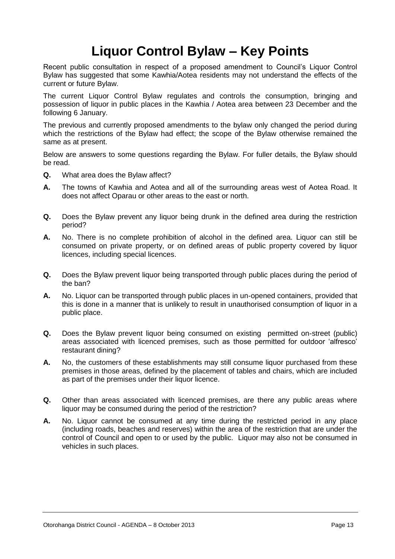# **Liquor Control Bylaw – Key Points**

Recent public consultation in respect of a proposed amendment to Council's Liquor Control Bylaw has suggested that some Kawhia/Aotea residents may not understand the effects of the current or future Bylaw.

The current Liquor Control Bylaw regulates and controls the consumption, bringing and possession of liquor in public places in the Kawhia / Aotea area between 23 December and the following 6 January.

The previous and currently proposed amendments to the bylaw only changed the period during which the restrictions of the Bylaw had effect; the scope of the Bylaw otherwise remained the same as at present.

Below are answers to some questions regarding the Bylaw. For fuller details, the Bylaw should be read.

- **Q.** What area does the Bylaw affect?
- **A.** The towns of Kawhia and Aotea and all of the surrounding areas west of Aotea Road. It does not affect Oparau or other areas to the east or north.
- **Q.** Does the Bylaw prevent any liquor being drunk in the defined area during the restriction period?
- **A.** No. There is no complete prohibition of alcohol in the defined area. Liquor can still be consumed on private property, or on defined areas of public property covered by liquor licences, including special licences.
- **Q.** Does the Bylaw prevent liquor being transported through public places during the period of the ban?
- **A.** No. Liquor can be transported through public places in un-opened containers, provided that this is done in a manner that is unlikely to result in unauthorised consumption of liquor in a public place.
- **Q.** Does the Bylaw prevent liquor being consumed on existing permitted on-street (public) areas associated with licenced premises, such as those permitted for outdoor 'alfresco' restaurant dining?
- **A.** No, the customers of these establishments may still consume liquor purchased from these premises in those areas, defined by the placement of tables and chairs, which are included as part of the premises under their liquor licence.
- **Q.** Other than areas associated with licenced premises, are there any public areas where liquor may be consumed during the period of the restriction?
- **A.** No. Liquor cannot be consumed at any time during the restricted period in any place (including roads, beaches and reserves) within the area of the restriction that are under the control of Council and open to or used by the public. Liquor may also not be consumed in vehicles in such places.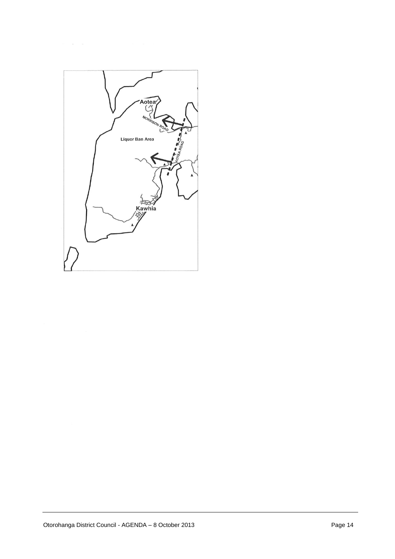

 $\delta = -\infty$